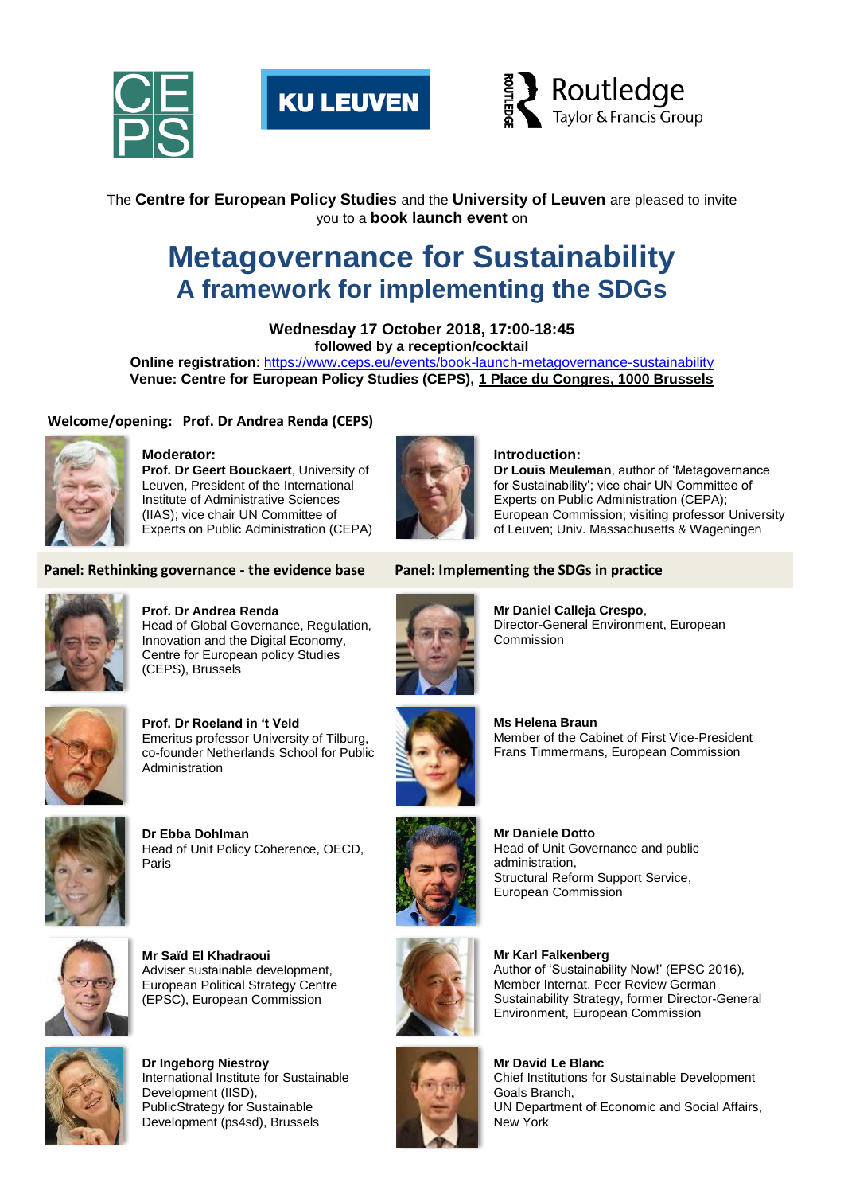





The **Centre for European Policy Studies** and the **University of Leuven** are pleased to invite you to a **book launch event** on

# **Metagovernance for Sustainability A framework for implementing the SDGs**

**Wednesday 17 October 2018, 17:00-18:45 followed by a reception/cocktail**

**Online registration**:<https://www.ceps.eu/events/book-launch-metagovernance-sustainability> **Venue: Centre for European Policy Studies (CEPS), [1 Place du Congres, 1000 Brussels](https://maps.google.com/?q=1+Place+du+Congres,+1000+Brussels&entry=gmail&source=g)**

## **Welcome/opening: Prof. Dr Andrea Renda (CEPS)**



# **Moderator:**

**Prof. Dr Geert Bouckaert**, University of Leuven, President of the International Institute of Administrative Sciences (IIAS); vice chair UN Committee of Experts on Public Administration (CEPA)

## **Introduction:**

**Dr Louis Meuleman**, author of 'Metagovernance for Sustainability'; vice chair UN Committee of Experts on Public Administration (CEPA); European Commission; visiting professor University of Leuven; Univ. Massachusetts & Wageningen

# **Panel: Rethinking governance - the evidence base Panel: Implementing the SDGs in practice**



**Prof. Dr Andrea Renda** Head of Global Governance, Regulation, Innovation and the Digital Economy, Centre for European policy Studies (CEPS), Brussels



**Prof. Dr Roeland in 't Veld** Emeritus professor University of Tilburg, co-founder Netherlands School for Public Administration



**Dr Ebba Dohlman** Head of Unit Policy Coherence, OECD, Paris



**Mr Saïd El Khadraoui** Adviser sustainable development, European Political Strategy Centre (EPSC), European Commission



**Dr Ingeborg Niestroy** International Institute for Sustainable Development (IISD), PublicStrategy for Sustainable Development (ps4sd), Brussels



**Mr Daniel Calleja Crespo**, Director-General Environment, European Commission



**Ms Helena Braun** Member of the Cabinet of First Vice-President Frans Timmermans, European Commission



**Mr Daniele Dotto** Head of Unit Governance and public administration, Structural Reform Support Service, European Commission



**Mr Karl Falkenberg**  Author of 'Sustainability Now!' (EPSC 2016), Member Internat. Peer Review German Sustainability Strategy, former Director-General Environment, European Commission



**Mr David Le Blanc** Chief Institutions for Sustainable Development Goals Branch, UN Department of Economic and Social Affairs, New York